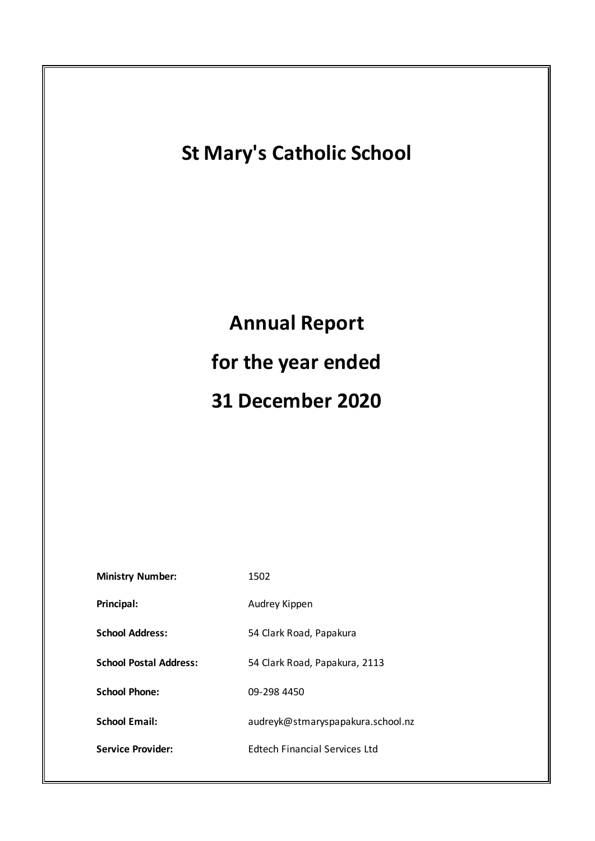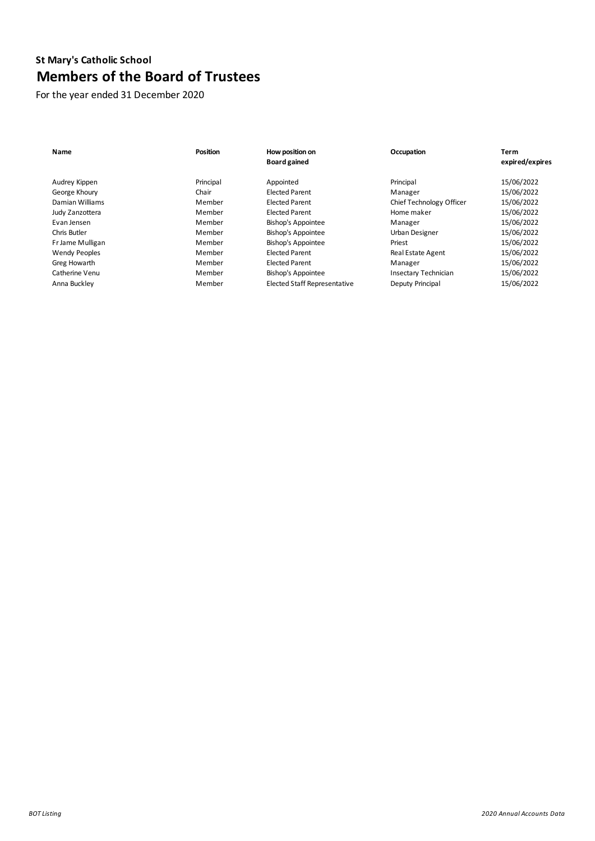# **St Mary's Catholic School Members of the Board of Trustees**

For the year ended 31 December 2020

| Name                 | <b>Position</b> | How position on<br><b>Board gained</b> | Occupation               | Term<br>expired/expires |
|----------------------|-----------------|----------------------------------------|--------------------------|-------------------------|
| Audrey Kippen        | Principal       | Appointed                              | Principal                | 15/06/2022              |
| George Khoury        | Chair           | <b>Elected Parent</b>                  | Manager                  | 15/06/2022              |
| Damian Williams      | Member          | <b>Elected Parent</b>                  | Chief Technology Officer | 15/06/2022              |
| Judy Zanzottera      | Member          | <b>Elected Parent</b>                  | Home maker               | 15/06/2022              |
| Evan Jensen          | Member          | <b>Bishop's Appointee</b>              | Manager                  | 15/06/2022              |
| Chris Butler         | Member          | <b>Bishop's Appointee</b>              | Urban Designer           | 15/06/2022              |
| Fr Jame Mulligan     | Member          | <b>Bishop's Appointee</b>              | Priest                   | 15/06/2022              |
| <b>Wendy Peoples</b> | Member          | <b>Elected Parent</b>                  | Real Estate Agent        | 15/06/2022              |
| Greg Howarth         | Member          | <b>Elected Parent</b>                  | Manager                  | 15/06/2022              |
| Catherine Venu       | Member          | <b>Bishop's Appointee</b>              | Insectary Technician     | 15/06/2022              |
| Anna Buckley         | Member          | <b>Elected Staff Representative</b>    | Deputy Principal         | 15/06/2022              |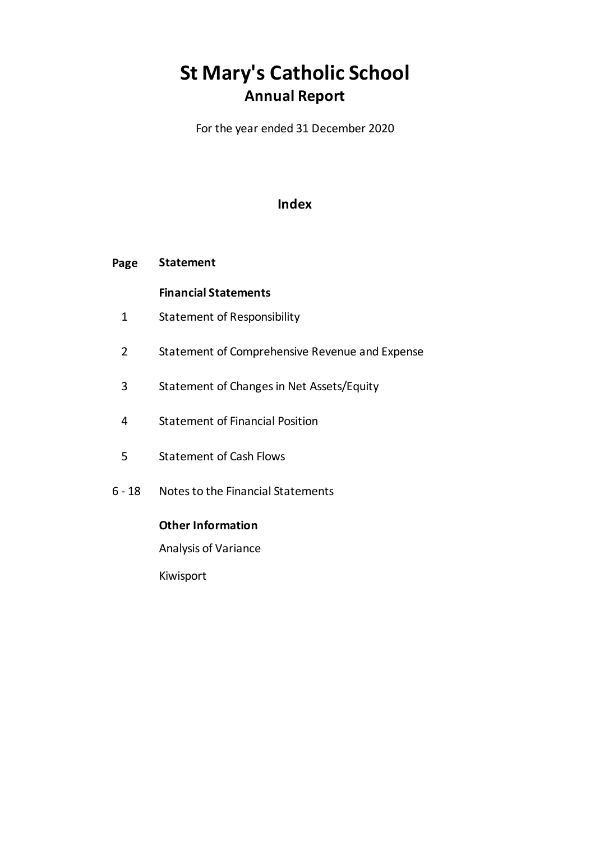# **St Mary's Catholic School Annual Report**

For the year ended 31 December 2020

# **Index**

#### **Page Statement**

# **Financial Statements**

- 1 Statement of Responsibility
- 2 Statement of Comprehensive Revenue and Expense
- 3 Statement of Changes in Net Assets/Equity
- 4 Statement of Financial Position
- 5 Statement of Cash Flows
- $6 18$ Notes to the Financial Statements

# **Other Information**

Analysis of Variance

Kiwisport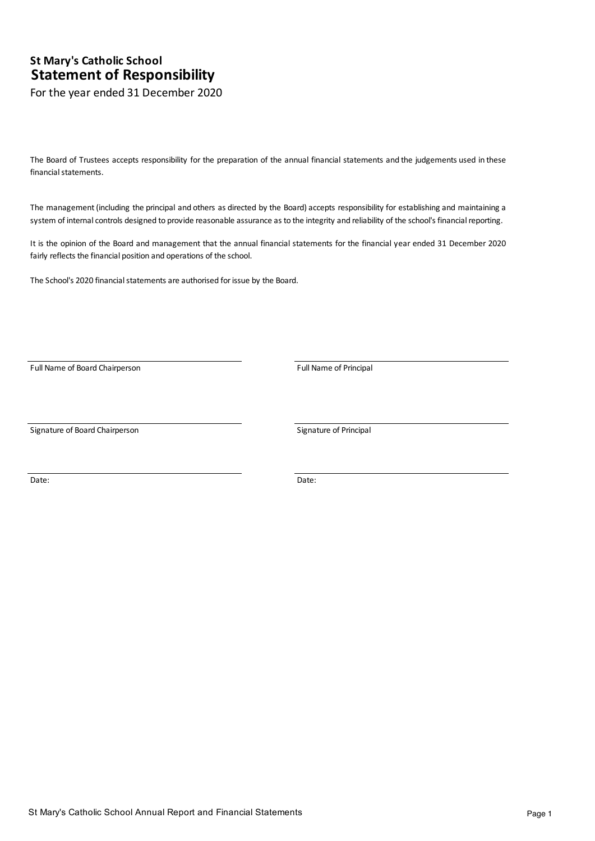# **Statement of Responsibility** For the year ended 31 December 2020

**St Mary's Catholic School**

The Board of Trustees accepts responsibility for the preparation of the annual financial statements and the judgements used in these financial statements.

The management (including the principal and others as directed by the Board) accepts responsibility for establishing and maintaining a system of internal controls designed to provide reasonable assurance as to the integrity and reliability of the school's financial reporting.

It is the opinion of the Board and management that the annual financial statements for the financial year ended 31 December 2020 fairly reflects the financial position and operations of the school.

The School's 2020 financial statements are authorised for issue by the Board.

Full Name of Board Chairperson Full Name of Principal

Signature of Board Chairperson Signature of Principal

Date: **Date:** Date: **Date: Date: Date: Date: Date: Date: Date: Date: Date: Date: Date: Date: Date: Date: Date: Date: Date: Date: Date: Date: Date: Date: Date: Date: Date: D**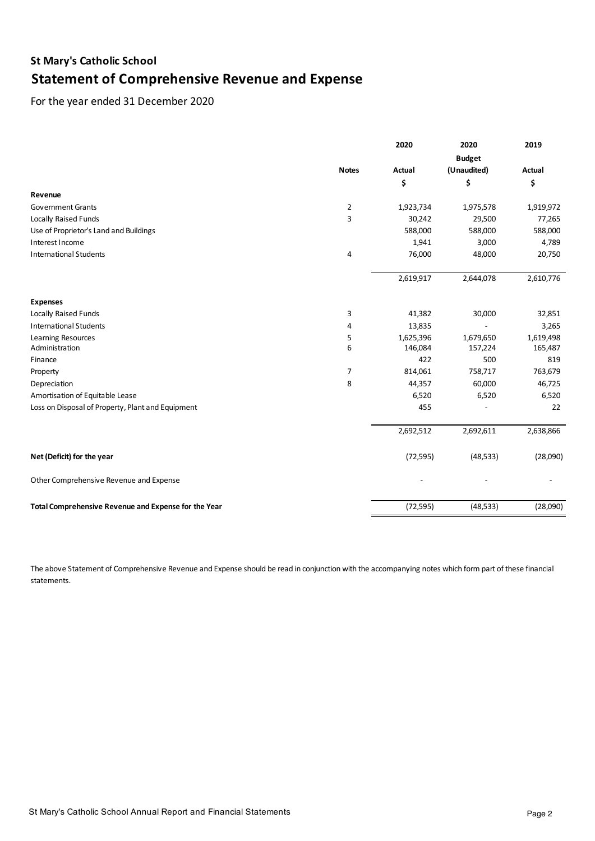# **St Mary's Catholic School Statement of Comprehensive Revenue and Expense**

For the year ended 31 December 2020

|                                                      |                | 2020      | 2020          | 2019      |
|------------------------------------------------------|----------------|-----------|---------------|-----------|
|                                                      |                |           | <b>Budget</b> |           |
|                                                      | <b>Notes</b>   | Actual    | (Unaudited)   | Actual    |
|                                                      |                | \$        | \$            | \$        |
| Revenue                                              |                |           |               |           |
| <b>Government Grants</b>                             | $\overline{2}$ | 1,923,734 | 1,975,578     | 1,919,972 |
| Locally Raised Funds                                 | 3              | 30,242    | 29,500        | 77,265    |
| Use of Proprietor's Land and Buildings               |                | 588,000   | 588,000       | 588,000   |
| Interest Income                                      |                | 1,941     | 3,000         | 4,789     |
| <b>International Students</b>                        | 4              | 76,000    | 48,000        | 20,750    |
|                                                      |                | 2,619,917 | 2,644,078     | 2,610,776 |
| <b>Expenses</b>                                      |                |           |               |           |
| Locally Raised Funds                                 | 3              | 41,382    | 30,000        | 32,851    |
| <b>International Students</b>                        | 4              | 13,835    |               | 3,265     |
| Learning Resources                                   | 5              | 1,625,396 | 1,679,650     | 1,619,498 |
| Administration                                       | 6              | 146,084   | 157,224       | 165,487   |
| Finance                                              |                | 422       | 500           | 819       |
| Property                                             | 7              | 814,061   | 758,717       | 763,679   |
| Depreciation                                         | 8              | 44,357    | 60,000        | 46,725    |
| Amortisation of Equitable Lease                      |                | 6,520     | 6,520         | 6,520     |
| Loss on Disposal of Property, Plant and Equipment    |                | 455       |               | 22        |
|                                                      |                | 2,692,512 | 2,692,611     | 2,638,866 |
| Net (Deficit) for the year                           |                | (72, 595) | (48, 533)     | (28,090)  |
| Other Comprehensive Revenue and Expense              |                |           |               |           |
| Total Comprehensive Revenue and Expense for the Year |                | (72, 595) | (48, 533)     | (28,090)  |

The above Statement of Comprehensive Revenue and Expense should be read in conjunction with the accompanying notes which form part of these financial statements.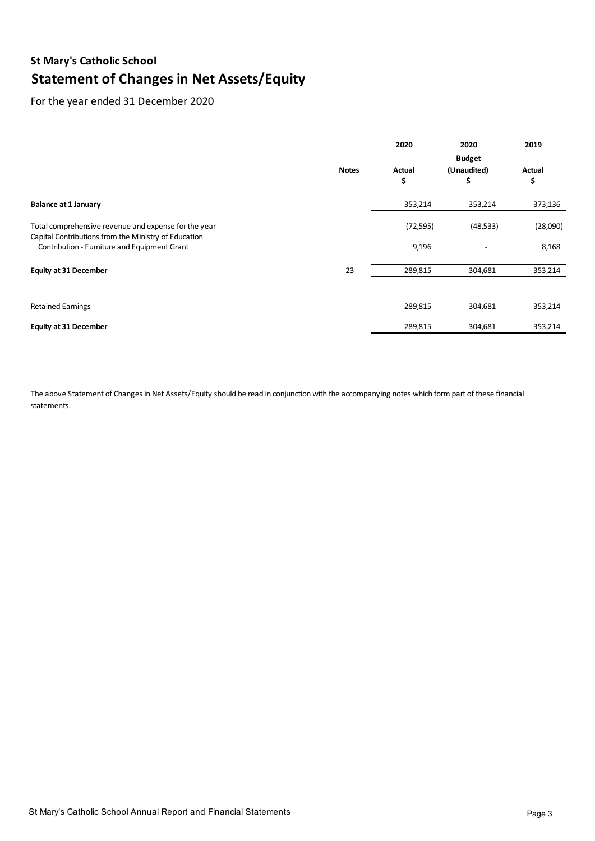# **St Mary's Catholic School Statement of Changes in Net Assets/Equity**

# For the year ended 31 December 2020

|                                                                                                              |              | 2020         | 2020                               | 2019         |
|--------------------------------------------------------------------------------------------------------------|--------------|--------------|------------------------------------|--------------|
|                                                                                                              | <b>Notes</b> | Actual<br>\$ | <b>Budget</b><br>(Unaudited)<br>\$ | Actual<br>\$ |
| <b>Balance at 1 January</b>                                                                                  |              | 353,214      | 353,214                            | 373,136      |
| Total comprehensive revenue and expense for the year<br>Capital Contributions from the Ministry of Education |              | (72, 595)    | (48, 533)                          | (28,090)     |
| Contribution - Furniture and Equipment Grant                                                                 |              | 9,196        |                                    | 8,168        |
| <b>Equity at 31 December</b>                                                                                 | 23           | 289,815      | 304,681                            | 353,214      |
|                                                                                                              |              |              |                                    |              |
| <b>Retained Earnings</b>                                                                                     |              | 289,815      | 304,681                            | 353,214      |
| <b>Equity at 31 December</b>                                                                                 |              | 289,815      | 304,681                            | 353,214      |

The above Statement of Changes in Net Assets/Equity should be read in conjunction with the accompanying notes which form part of these financial statements.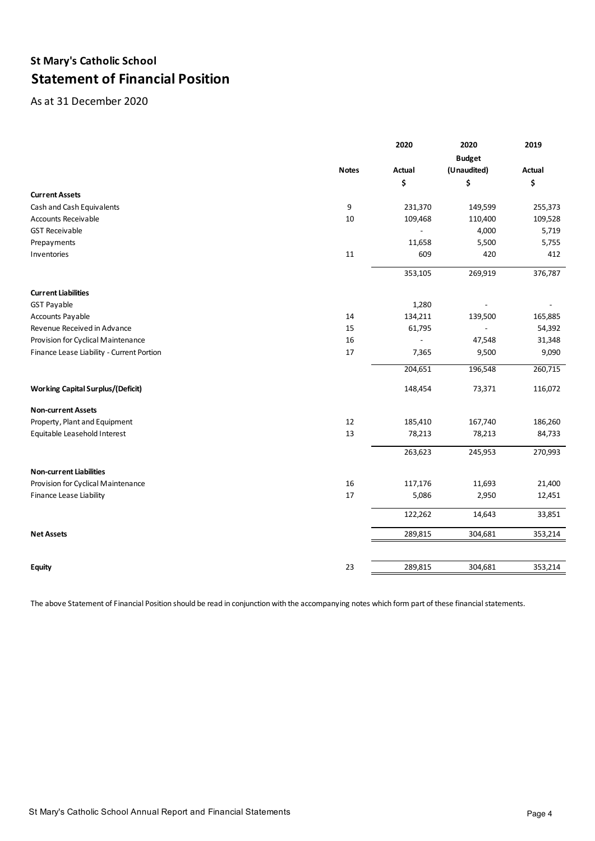# **St Mary's Catholic School Statement of Financial Position**

As at 31 December 2020

|                                           |              | 2020           | 2020          | 2019    |
|-------------------------------------------|--------------|----------------|---------------|---------|
|                                           |              |                | <b>Budget</b> |         |
|                                           | <b>Notes</b> | Actual         | (Unaudited)   | Actual  |
|                                           |              | \$             | \$            | \$      |
| <b>Current Assets</b>                     |              |                |               |         |
| Cash and Cash Equivalents                 | 9            | 231,370        | 149,599       | 255,373 |
| <b>Accounts Receivable</b>                | 10           | 109,468        | 110,400       | 109,528 |
| <b>GST Receivable</b>                     |              |                | 4,000         | 5,719   |
| Prepayments                               |              | 11,658         | 5,500         | 5,755   |
| Inventories                               | $11\,$       | 609            | 420           | 412     |
|                                           |              | 353,105        | 269,919       | 376,787 |
| <b>Current Liabilities</b>                |              |                |               |         |
| <b>GST Payable</b>                        |              | 1,280          |               |         |
| Accounts Payable                          | 14           | 134,211        | 139,500       | 165,885 |
| Revenue Received in Advance               | 15           | 61,795         |               | 54,392  |
| Provision for Cyclical Maintenance        | 16           | $\overline{a}$ | 47,548        | 31,348  |
| Finance Lease Liability - Current Portion | $17\,$       | 7,365          | 9,500         | 9,090   |
|                                           |              | 204,651        | 196,548       | 260,715 |
| <b>Working Capital Surplus/(Deficit)</b>  |              | 148,454        | 73,371        | 116,072 |
| <b>Non-current Assets</b>                 |              |                |               |         |
| Property, Plant and Equipment             | 12           | 185,410        | 167,740       | 186,260 |
| Equitable Leasehold Interest              | 13           | 78,213         | 78,213        | 84,733  |
|                                           |              | 263,623        | 245,953       | 270,993 |
| <b>Non-current Liabilities</b>            |              |                |               |         |
| Provision for Cyclical Maintenance        | 16           | 117,176        | 11,693        | 21,400  |
| Finance Lease Liability                   | 17           | 5,086          | 2,950         | 12,451  |
|                                           |              | 122,262        | 14,643        | 33,851  |
| <b>Net Assets</b>                         |              | 289,815        | 304,681       | 353,214 |
|                                           |              |                |               |         |
| <b>Equity</b>                             | 23           | 289,815        | 304,681       | 353,214 |

The above Statement of Financial Position should be read in conjunction with the accompanying notes which form part of these financial statements.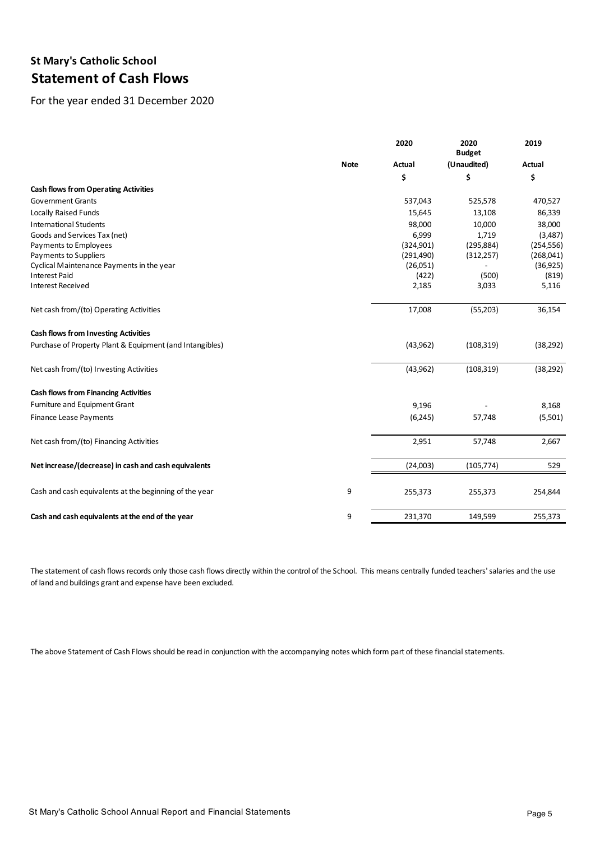# **St Mary's Catholic School Statement of Cash Flows**

For the year ended 31 December 2020

|                                                          |             | 2020<br><b>Budget</b> | 2020        | 2019<br>Actual |
|----------------------------------------------------------|-------------|-----------------------|-------------|----------------|
|                                                          | <b>Note</b> | <b>Actual</b>         | (Unaudited) |                |
|                                                          |             | \$                    | \$          | \$             |
| <b>Cash flows from Operating Activities</b>              |             |                       |             |                |
| <b>Government Grants</b>                                 |             | 537,043               | 525,578     | 470,527        |
| Locally Raised Funds                                     |             | 15,645                | 13,108      | 86,339         |
| <b>International Students</b>                            |             | 98,000                | 10,000      | 38,000         |
| Goods and Services Tax (net)                             |             | 6,999                 | 1,719       | (3,487)        |
| Payments to Employees                                    |             | (324,901)             | (295, 884)  | (254, 556)     |
| Payments to Suppliers                                    |             | (291, 490)            | (312, 257)  | (268,041)      |
| Cyclical Maintenance Payments in the year                |             | (26,051)              |             | (36,925)       |
| <b>Interest Paid</b>                                     |             | (422)                 | (500)       | (819)          |
| <b>Interest Received</b>                                 |             | 2,185                 | 3,033       | 5,116          |
| Net cash from/(to) Operating Activities                  |             | 17,008                | (55,203)    | 36,154         |
| <b>Cash flows from Investing Activities</b>              |             |                       |             |                |
| Purchase of Property Plant & Equipment (and Intangibles) |             | (43, 962)             | (108, 319)  | (38, 292)      |
| Net cash from/(to) Investing Activities                  |             | (43, 962)             | (108, 319)  | (38, 292)      |
| <b>Cash flows from Financing Activities</b>              |             |                       |             |                |
| Furniture and Equipment Grant                            |             | 9,196                 |             | 8,168          |
| <b>Finance Lease Payments</b>                            |             | (6,245)               | 57,748      | (5,501)        |
| Net cash from/(to) Financing Activities                  |             | 2,951                 | 57,748      | 2,667          |
| Net increase/(decrease) in cash and cash equivalents     |             | (24,003)              | (105, 774)  | 529            |
| Cash and cash equivalents at the beginning of the year   | 9           | 255,373               | 255,373     | 254,844        |
| Cash and cash equivalents at the end of the year         | 9           | 231,370               | 149,599     | 255,373        |

The statement of cash flows records only those cash flows directly within the control of the School. This means centrally funded teachers' salaries and the use of land and buildings grant and expense have been excluded.

The above Statement of Cash Flows should be read in conjunction with the accompanying notes which form part of these financial statements.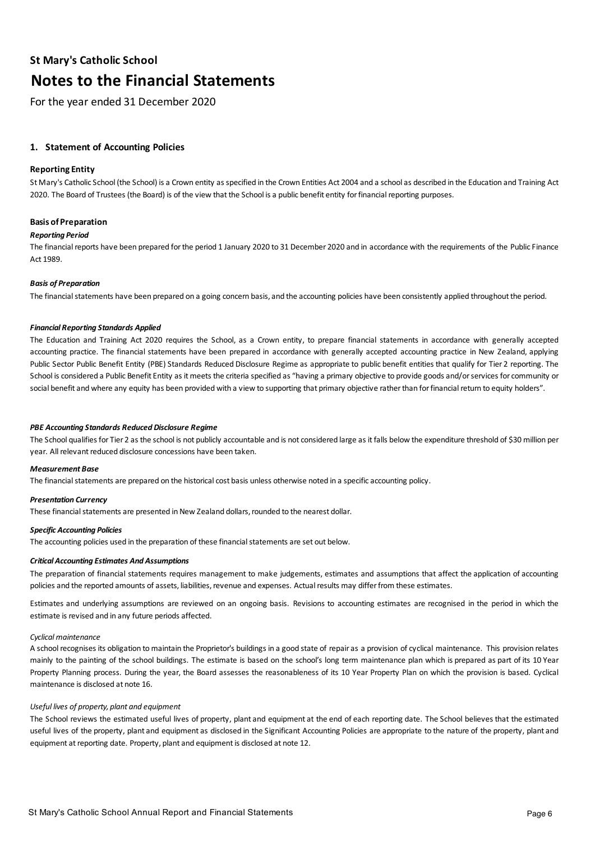For the year ended 31 December 2020

## **1. Statement of Accounting Policies**

### **Reporting Entity**

St Mary's Catholic School (the School) is a Crown entity as specified in the Crown Entities Act 2004 and a school as described in the Education and Training Act 2020. The Board of Trustees (the Board) is of the view that the School is a public benefit entity for financial reporting purposes.

#### **Basis of Preparation**

#### *Reporting Period*

The financial reports have been prepared for the period 1 January 2020 to 31 December 2020 and in accordance with the requirements of the Public Finance Act 1989.

#### *Basis of Preparation*

The financial statements have been prepared on a going concern basis, and the accounting policies have been consistently applied throughout the period.

#### *Financial Reporting Standards Applied*

The Education and Training Act 2020 requires the School, as a Crown entity, to prepare financial statements in accordance with generally accepted accounting practice. The financial statements have been prepared in accordance with generally accepted accounting practice in New Zealand, applying Public Sector Public Benefit Entity (PBE) Standards Reduced Disclosure Regime as appropriate to public benefit entities that qualify for Tier 2 reporting. The School is considered a Public Benefit Entity as it meets the criteria specified as "having a primary objective to provide goods and/or services for community or social benefit and where any equity has been provided with a view to supporting that primary objective rather than for financial return to equity holders".

#### *PBE Accounting Standards Reduced Disclosure Regime*

The School qualifies for Tier 2 as the school is not publicly accountable and is not considered large as it falls below the expenditure threshold of \$30 million per year. All relevant reduced disclosure concessions have been taken.

#### *Measurement Base*

The financial statements are prepared on the historical cost basis unless otherwise noted in a specific accounting policy.

#### *Presentation Currency*

These financial statements are presented in New Zealand dollars, rounded to the nearest dollar.

### *Specific Accounting Policies*

The accounting policies used in the preparation of these financial statements are set out below.

# *Critical Accounting Estimates And Assumptions*

The preparation of financial statements requires management to make judgements, estimates and assumptions that affect the application of accounting policies and the reported amounts of assets, liabilities, revenue and expenses. Actual results may differ from these estimates.

Estimates and underlying assumptions are reviewed on an ongoing basis. Revisions to accounting estimates are recognised in the period in which the estimate is revised and in any future periods affected.

# *Cyclical maintenance*

A school recognises its obligation to maintain the Proprietor's buildings in a good state of repair as a provision of cyclical maintenance. This provision relates mainly to the painting of the school buildings. The estimate is based on the school's long term maintenance plan which is prepared as part of its 10 Year Property Planning process. During the year, the Board assesses the reasonableness of its 10 Year Property Plan on which the provision is based. Cyclical maintenance is disclosed at note 16.

# *Useful lives of property, plant and equipment*

The School reviews the estimated useful lives of property, plant and equipment at the end of each reporting date. The School believes that the estimated useful lives of the property, plant and equipment as disclosed in the Significant Accounting Policies are appropriate to the nature of the property, plant and equipment at reporting date. Property, plant and equipment is disclosed at note 12.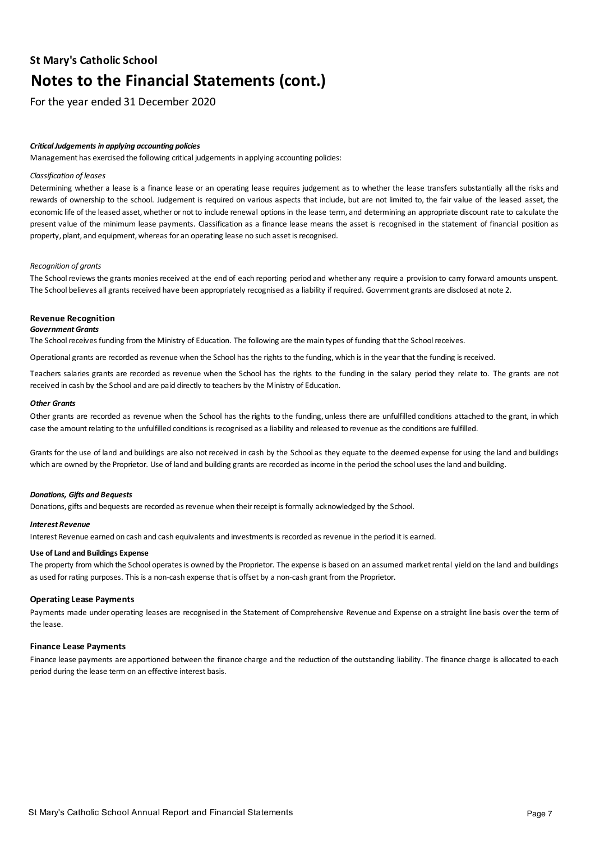For the year ended 31 December 2020

### *Critical Judgements in applying accounting policies*

Management has exercised the following critical judgements in applying accounting policies:

#### *Classification of leases*

Determining whether a lease is a finance lease or an operating lease requires judgement as to whether the lease transfers substantially all the risks and rewards of ownership to the school. Judgement is required on various aspects that include, but are not limited to, the fair value of the leased asset, the economic life of the leased asset, whether or not to include renewal options in the lease term, and determining an appropriate discount rate to calculate the present value of the minimum lease payments. Classification as a finance lease means the asset is recognised in the statement of financial position as property, plant, and equipment, whereas for an operating lease no such asset is recognised.

#### *Recognition of grants*

The School reviews the grants monies received at the end of each reporting period and whether any require a provision to carry forward amounts unspent. The School believes all grants received have been appropriately recognised as a liability if required. Government grants are disclosed at note 2.

#### **Revenue Recognition**

#### *Government Grants*

The School receives funding from the Ministry of Education. The following are the main types of funding that the School receives.

Operational grants are recorded as revenue when the School has the rights to the funding, which is in the year that the funding is received.

Teachers salaries grants are recorded as revenue when the School has the rights to the funding in the salary period they relate to. The grants are not received in cash by the School and are paid directly to teachers by the Ministry of Education.

#### *Other Grants*

Other grants are recorded as revenue when the School has the rights to the funding, unless there are unfulfilled conditions attached to the grant, in which case the amount relating to the unfulfilled conditions is recognised as a liability and released to revenue as the conditions are fulfilled.

Grants for the use of land and buildings are also notreceived in cash by the School as they equate to the deemed expense for using the land and buildings which are owned by the Proprietor. Use of land and building grants are recorded as income in the period the school uses the land and building.

#### *Donations, Gifts and Bequests*

Donations, gifts and bequests are recorded as revenue when their receipt is formally acknowledged by the School.

#### *Interest Revenue*

Interest Revenue earned on cash and cash equivalents and investments is recorded as revenue in the period it is earned.

# **Use of Land and Buildings Expense**

The property from which the School operates is owned by the Proprietor. The expense is based on an assumed market rental yield on the land and buildings as used for rating purposes. This is a non-cash expense that is offset by a non-cash grant from the Proprietor.

#### **Operating Lease Payments**

Payments made under operating leases are recognised in the Statement of Comprehensive Revenue and Expense on a straight line basis overthe term of the lease.

#### **Finance Lease Payments**

Finance lease payments are apportioned between the finance charge and the reduction of the outstanding liability. The finance charge is allocated to each period during the lease term on an effective interest basis.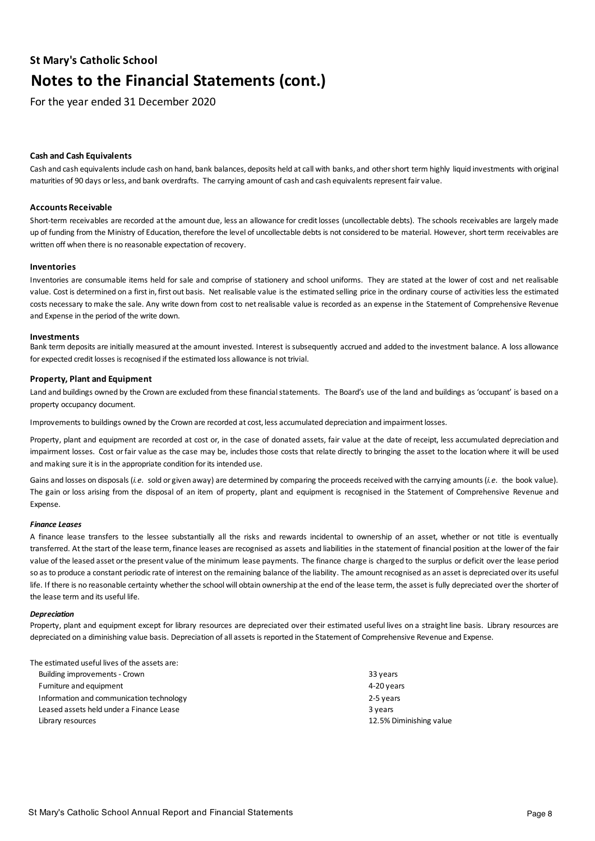For the year ended 31 December 2020

period during the lease term on an effective interest basis.

## **Cash and Cash Equivalents**

Cash and cash equivalents include cash on hand, bank balances, deposits held at call with banks, and othershort term highly liquid investments with original maturities of 90 days or less, and bank overdrafts. The carrying amount of cash and cash equivalents represent fair value.

### **Accounts Receivable**

Short-term receivables are recorded at the amount due, less an allowance for credit losses (uncollectable debts). The schools receivables are largely made up of funding from the Ministry of Education, therefore the level of uncollectable debts is not considered to be material. However, short term receivables are written off when there is no reasonable expectation of recovery.

#### **Inventories**

Inventories are consumable items held for sale and comprise of stationery and school uniforms. They are stated at the lower of cost and net realisable value. Cost is determined on a first in, first out basis. Net realisable value is the estimated selling price in the ordinary course of activities less the estimated costs necessary to make the sale. Any write down from costto netrealisable value is recorded as an expense in the Statement of Comprehensive Revenue and Expense in the period of the write down.

#### **Investments**

Bank term deposits are initially measured atthe amount invested. Interest is subsequently accrued and added to the investment balance. A loss allowance for expected credit losses is recognised if the estimated loss allowance is not trivial.

#### **Property, Plant and Equipment**

Land and buildings owned by the Crown are excluded from these financial statements. The Board's use of the land and buildings as 'occupant' is based on a property occupancy document.

Improvements to buildings owned by the Crown are recorded at cost, less accumulated depreciation and impairment losses.

Property, plant and equipment are recorded at cost or, in the case of donated assets, fair value at the date of receipt, less accumulated depreciation and impairment losses. Cost orfair value as the case may be, includes those costs that relate directly to bringing the asset to the location where it will be used and making sure it is in the appropriate condition for its intended use.

Gains and losses on disposals (*i.e.* sold or given away) are determined by comparing the proceeds received with the carrying amounts (*i.e.* the book value). The gain or loss arising from the disposal of an item of property, plant and equipment is recognised in the Statement of Comprehensive Revenue and Expense.

#### *Finance Leases*

A finance lease transfers to the lessee substantially all the risks and rewards incidental to ownership of an asset, whether or not title is eventually transferred. Atthe start of the lease term,finance leases are recognised as assets and liabilities in the statement of financial position atthe lower of the fair value of the leased asset orthe present value of the minimum lease payments. The finance charge is charged to the surplus or deficit overthe lease period so as to produce a constant periodic rate of interest on the remaining balance of the liability. The amount recognised as an asset is depreciated over its useful life. If there is no reasonable certainty whether the school will obtain ownership at the end of the lease term, the asset is fully depreciated over the shorter of the lease term and its useful life.

#### *Depreciation*

Property, plant and equipment except for library resources are depreciated over their estimated useful lives on a straight line basis. Library resources are depreciated on a diminishing value basis. Depreciation of all assets is reported in the Statement of Comprehensive Revenue and Expense.

| The estimated useful lives of the assets are: |                         |
|-----------------------------------------------|-------------------------|
| Building improvements - Crown                 | 33 years                |
| Furniture and equipment                       | 4-20 years              |
| Information and communication technology      | 2-5 years               |
| Leased assets held under a Finance Lease      | 3 years                 |
| Library resources                             | 12.5% Diminishing value |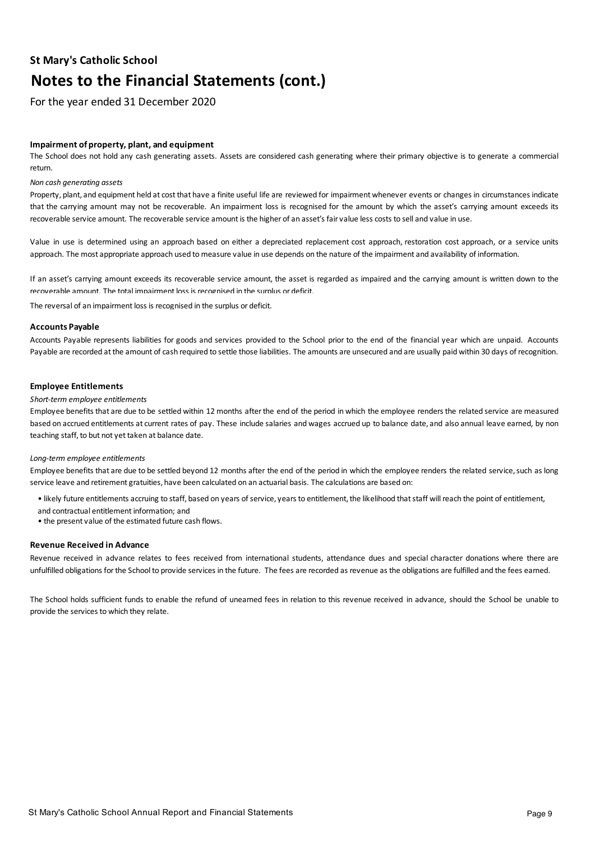For the year ended 31 December 2020

## **Impairment of property, plant, and equipment**

The School does not hold any cash generating assets. Assets are considered cash generating where their primary objective is to generate a commercial return.

#### *Non cash generating assets*

Property, plant, and equipment held at costthat have a finite useful life are reviewed for impairment whenever events or changes in circumstances indicate that the carrying amount may not be recoverable. An impairment loss is recognised for the amount by which the asset's carrying amount exceeds its recoverable service amount. The recoverable service amount is the higher of an asset's fair value less costs to sell and value in use.

Value in use is determined using an approach based on either a depreciated replacement cost approach, restoration cost approach, or a service units approach. The most appropriate approach used to measure value in use depends on the nature of the impairment and availability of information.

If an asset's carrying amount exceeds its recoverable service amount, the asset is regarded as impaired and the carrying amount is written down to the recoverable amount. The total impairment loss is recognised in the surplus or deficit.

The reversal of an impairment loss is recognised in the surplus or deficit.

#### **Accounts Payable**

Accounts Payable represents liabilities for goods and services provided to the School prior to the end of the financial year which are unpaid. Accounts Payable are recorded at the amount of cash required to settle those liabilities. The amounts are unsecured and are usually paid within 30 days of recognition.

#### **Employee Entitlements**

#### *Short-term employee entitlements*

Employee benefits that are due to be settled within 12 months afterthe end of the period in which the employee renders the related service are measured based on accrued entitlements at current rates of pay. These include salaries and wages accrued up to balance date, and also annual leave earned, by non teaching staff, to but not yet taken at balance date.

#### *Long-term employee entitlements*

Employee benefits that are due to be settled beyond 12 months after the end of the period in which the employee renders the related service, such as long service leave and retirement gratuities, have been calculated on an actuarial basis. The calculations are based on:

- likely future entitlements accruing to staff, based on years of service, years to entitlement, the likelihood that staff will reach the point of entitlement,
- and contractual entitlement information; and
- the present value of the estimated future cash flows.

### **Revenue Received in Advance**

Revenue received in advance relates to fees received from international students, attendance dues and special character donations where there are unfulfilled obligations for the School to provide services in the future. The fees are recorded as revenue as the obligations are fulfilled and the fees earned.

The School holds sufficient funds to enable the refund of unearned fees in relation to this revenue received in advance, should the School be unable to provide the services to which they relate.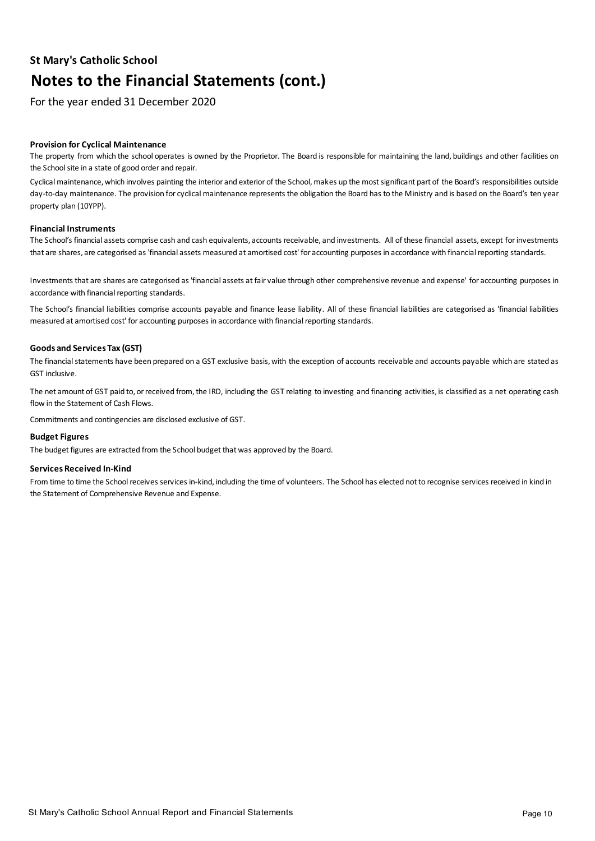For the year ended 31 December 2020

## **Provision for Cyclical Maintenance**

The property from which the school operates is owned by the Proprietor. The Board is responsible for maintaining the land, buildings and other facilities on the School site in a state of good order and repair.

Cyclical maintenance, which involves painting the interior and exterior of the School, makes up the most significant part of the Board's responsibilities outside day-to-day maintenance. The provision for cyclical maintenance represents the obligation the Board has to the Ministry and is based on the Board's ten year property plan (10YPP).

### **Financial Instruments**

The School's financial assets comprise cash and cash equivalents, accounts receivable, and investments. All of these financial assets, except forinvestments that are shares, are categorised as 'financial assets measured at amortised cost' for accounting purposes in accordance with financial reporting standards.

Investments that are shares are categorised as 'financial assets at fair value through other comprehensive revenue and expense' for accounting purposes in accordance with financial reporting standards.

The School's financial liabilities comprise accounts payable and finance lease liability. All of these financial liabilities are categorised as 'financial liabilities measured at amortised cost' for accounting purposes in accordance with financial reporting standards.

## **Goods and Services Tax (GST)**

The financial statements have been prepared on a GST exclusive basis, with the exception of accounts receivable and accounts payable which are stated as GST inclusive.

The net amount of GST paid to, or received from, the IRD, including the GST relating to investing and financing activities, is classified as a net operating cash flow in the Statement of Cash Flows.

Commitments and contingencies are disclosed exclusive of GST.

### **Budget Figures**

The budget figures are extracted from the School budget that was approved by the Board.

### **Services Received In-Kind**

From time to time the School receives services in-kind, including the time of volunteers. The School has elected not to recognise services received in kind in the Statement of Comprehensive Revenue and Expense.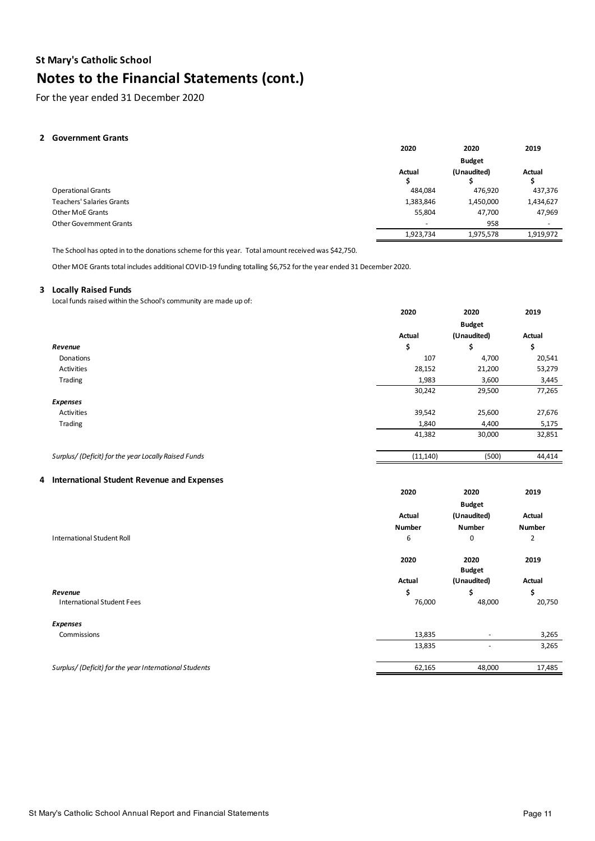For the year ended 31 December 2020

### 2 Government Grants

|                                  | 2020                     | 2020          | 2019                     |
|----------------------------------|--------------------------|---------------|--------------------------|
|                                  |                          | <b>Budget</b> |                          |
|                                  | Actual<br>z              | (Unaudited)   | Actual                   |
| <b>Operational Grants</b>        | 484,084                  | 476,920       | 437,376                  |
| <b>Teachers' Salaries Grants</b> | 1,383,846                | 1,450,000     | 1,434,627                |
| <b>Other MoE Grants</b>          | 55,804                   | 47,700        | 47,969                   |
| <b>Other Government Grants</b>   | $\overline{\phantom{0}}$ | 958           | $\overline{\phantom{0}}$ |
|                                  | 1,923,734                | 1,975,578     | 1,919,972                |

The School has opted in to the donations scheme for this year. Total amount received was \$42,750.

Other MOE Grants total includes additional COVID-19 funding totalling \$6,752 for the year ended 31 December 2020.

#### **Lo 3 Locally Raised Funds**

Local funds raised within the School's community are made up of:

|                                                      | 2020          | 2020          | 2019   |
|------------------------------------------------------|---------------|---------------|--------|
|                                                      |               | <b>Budget</b> |        |
|                                                      | <b>Actual</b> | (Unaudited)   | Actual |
| Revenue                                              | \$            | \$            | \$     |
| Donations                                            | 107           | 4,700         | 20,541 |
| Activities                                           | 28,152        | 21,200        | 53,279 |
| Trading                                              | 1,983         | 3,600         | 3,445  |
|                                                      | 30,242        | 29,500        | 77,265 |
| <b>Expenses</b>                                      |               |               |        |
| Activities                                           | 39,542        | 25,600        | 27,676 |
| Trading                                              | 1,840         | 4,400         | 5,175  |
|                                                      | 41,382        | 30,000        | 32,851 |
| Surplus/ (Deficit) for the year Locally Raised Funds | (11, 140)     | (500)         | 44,414 |
|                                                      |               |               |        |

## **In 4 International Student Revenue and Expenses**

|                                                        | 2020          | 2020                     | 2019   |
|--------------------------------------------------------|---------------|--------------------------|--------|
|                                                        |               | <b>Budget</b>            |        |
|                                                        | <b>Actual</b> | (Unaudited)              | Actual |
|                                                        | Number        | Number                   | Number |
| International Student Roll                             | 6             | 0                        | 2      |
|                                                        | 2020          | 2020<br><b>Budget</b>    | 2019   |
|                                                        | Actual        | (Unaudited)              | Actual |
| Revenue                                                | \$            | \$                       | \$     |
| <b>International Student Fees</b>                      | 76,000        | 48,000                   | 20,750 |
| <b>Expenses</b>                                        |               |                          |        |
| Commissions                                            | 13,835        | ٠                        | 3,265  |
|                                                        | 13,835        | $\overline{\phantom{a}}$ | 3,265  |
| Surplus/ (Deficit) for the year International Students | 62,165        | 48,000                   | 17,485 |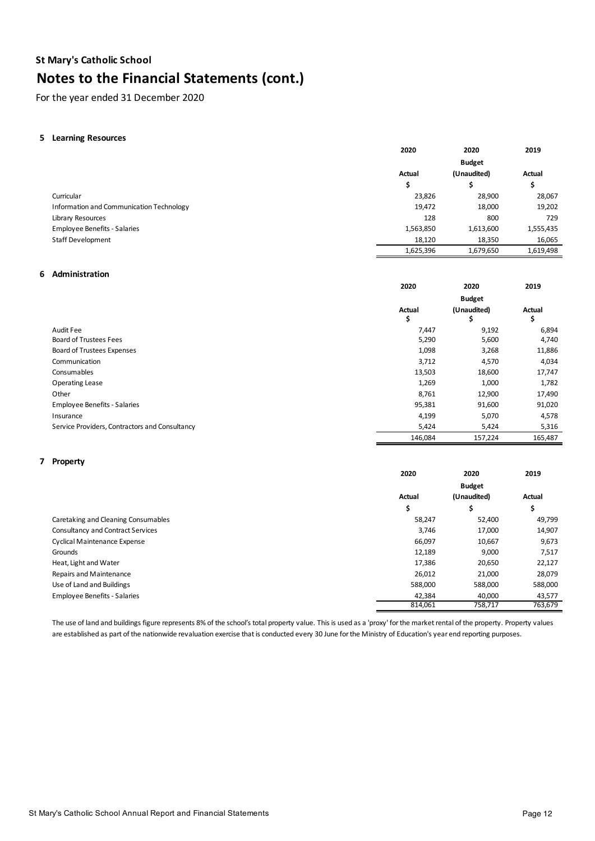For the year ended 31 December 2020

### **Le5 Learning Resources**

|                                          | 2020          | 2020          | 2019      |
|------------------------------------------|---------------|---------------|-----------|
|                                          |               | <b>Budget</b> |           |
|                                          | <b>Actual</b> | (Unaudited)   | Actual    |
|                                          | Ş             |               | S         |
| Curricular                               | 23,826        | 28,900        | 28,067    |
| Information and Communication Technology | 19,472        | 18,000        | 19,202    |
| Library Resources                        | 128           | 800           | 729       |
| <b>Employee Benefits - Salaries</b>      | 1,563,850     | 1,613,600     | 1,555,435 |
| Staff Development                        | 18,120        | 18,350        | 16,065    |
|                                          | 1,625,396     | 1,679,650     | 1,619,498 |

### **Ad6 Administration**

|                                                | 2020        | 2020              | 2019         |
|------------------------------------------------|-------------|-------------------|--------------|
|                                                |             | <b>Budget</b>     |              |
|                                                | Actual<br>⋗ | (Unaudited)<br>\$ | Actual<br>\$ |
| Audit Fee                                      | 7,447       | 9,192             | 6,894        |
| Board of Trustees Fees                         | 5,290       | 5,600             | 4,740        |
| Board of Trustees Expenses                     | 1,098       | 3,268             | 11,886       |
| Communication                                  | 3,712       | 4,570             | 4,034        |
| Consumables                                    | 13,503      | 18,600            | 17,747       |
| <b>Operating Lease</b>                         | 1,269       | 1,000             | 1,782        |
| Other                                          | 8,761       | 12,900            | 17,490       |
| <b>Employee Benefits - Salaries</b>            | 95,381      | 91,600            | 91,020       |
| Insurance                                      | 4,199       | 5,070             | 4,578        |
| Service Providers, Contractors and Consultancy | 5,424       | 5,424             | 5,316        |
|                                                | 146,084     | 157,224           | 165,487      |

#### **Pr 7 Property**

|                                          | 2020    | 2020          | 2019    |
|------------------------------------------|---------|---------------|---------|
|                                          |         | <b>Budget</b> |         |
|                                          | Actual  | (Unaudited)   | Actual  |
|                                          | \$      | \$            | \$      |
| Caretaking and Cleaning Consumables      | 58,247  | 52,400        | 49,799  |
| <b>Consultancy and Contract Services</b> | 3,746   | 17,000        | 14,907  |
| <b>Cyclical Maintenance Expense</b>      | 66,097  | 10,667        | 9,673   |
| Grounds                                  | 12,189  | 9,000         | 7,517   |
| Heat, Light and Water                    | 17,386  | 20,650        | 22,127  |
| Repairs and Maintenance                  | 26,012  | 21,000        | 28,079  |
| Use of Land and Buildings                | 588,000 | 588,000       | 588,000 |
| <b>Employee Benefits - Salaries</b>      | 42,384  | 40,000        | 43,577  |
|                                          | 814,061 | 758,717       | 763,679 |

The use of land and buildings figure represents 8% of the school's total property value. This is used as a 'proxy' for the market rental of the property. Property values are established as part of the nationwide revaluation exercise that is conducted every 30 June for the Ministry of Education's year end reporting purposes.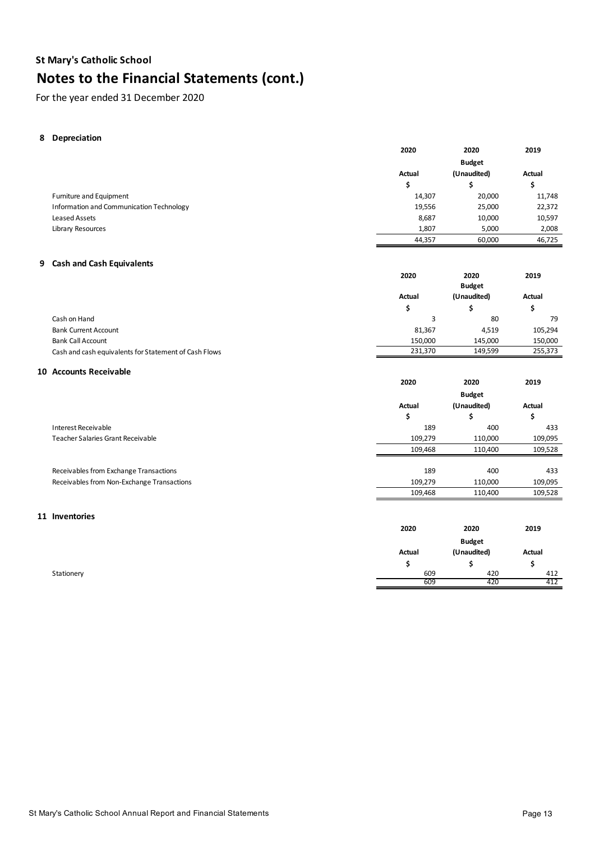For the year ended 31 December 2020

### **8** Depreciation

|                                                       | 2020      | 2020          | 2019      |
|-------------------------------------------------------|-----------|---------------|-----------|
|                                                       |           | <b>Budget</b> |           |
|                                                       | Actual    | (Unaudited)   | Actual    |
|                                                       | \$        | \$            | \$        |
| Furniture and Equipment                               | 14,307    | 20,000        | 11,748    |
| Information and Communication Technology              | 19,556    | 25,000        | 22,372    |
| <b>Leased Assets</b>                                  | 8,687     | 10,000        | 10,597    |
| Library Resources                                     | 1,807     | 5,000         | 2,008     |
|                                                       | 44,357    | 60,000        | 46,725    |
|                                                       |           |               |           |
| 9 Cash and Cash Equivalents                           |           |               |           |
|                                                       | 2020      | 2020          | 2019      |
|                                                       |           | <b>Budget</b> |           |
|                                                       | Actual    | (Unaudited)   | Actual    |
|                                                       | \$        | \$            | \$        |
| Cash on Hand                                          | 3         | 80            | 79        |
| <b>Bank Current Account</b>                           | 81,367    | 4,519         | 105,294   |
| <b>Bank Call Account</b>                              | 150,000   | 145,000       | 150,000   |
| Cash and cash equivalents for Statement of Cash Flows | 231,370   | 149,599       | 255,373   |
| 10 Accounts Receivable                                |           |               |           |
|                                                       | 2020      | 2020          | 2019      |
|                                                       |           |               |           |
|                                                       |           | <b>Budget</b> |           |
|                                                       | Actual    | (Unaudited)   | Actual    |
|                                                       | \$        | \$            | \$        |
| <b>Interest Receivable</b>                            | 189       | 400           | 433       |
| Teacher Salaries Grant Receivable                     | 109,279   | 110,000       | 109,095   |
|                                                       | 109,468   | 110,400       | 109,528   |
| Receivables from Exchange Transactions                | 189       | 400           | 433       |
| Receivables from Non-Exchange Transactions            | 109,279   | 110,000       | 109,095   |
|                                                       | 109,468   | 110,400       | 109,528   |
|                                                       |           |               |           |
| 11 Inventories                                        |           |               |           |
|                                                       | 2020      | 2020          | 2019      |
|                                                       |           | <b>Budget</b> |           |
|                                                       | Actual    | (Unaudited)   | Actual    |
|                                                       |           |               |           |
|                                                       |           |               |           |
| Stationery                                            | \$<br>609 | \$<br>420     | \$<br>412 |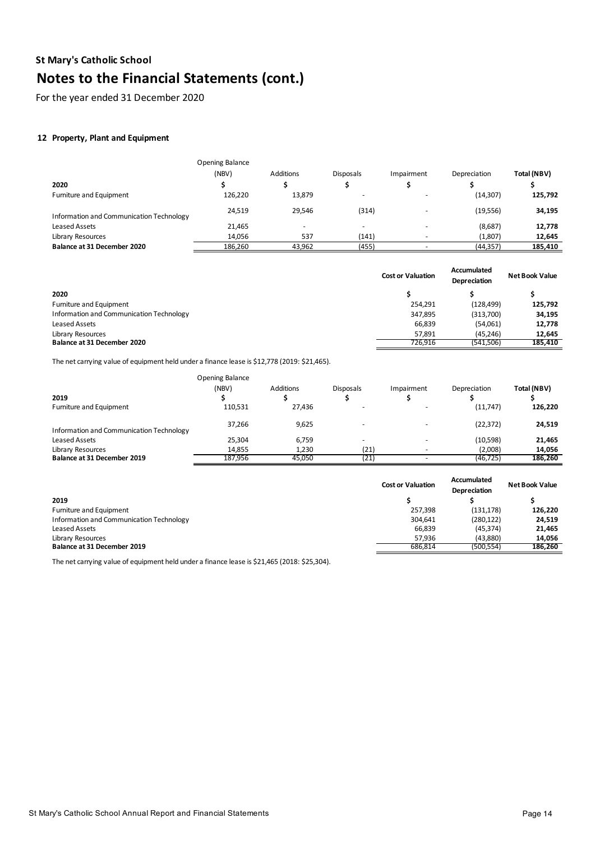For the year ended 31 December 2020

# **12 Property, Plant and Equipment**

|                                          | Opening Balance |                          |                          |            |              |             |
|------------------------------------------|-----------------|--------------------------|--------------------------|------------|--------------|-------------|
|                                          | (NBV)           | <b>Additions</b>         | <b>Disposals</b>         | Impairment | Depreciation | Total (NBV) |
| 2020                                     |                 |                          |                          |            |              |             |
| Furniture and Equipment                  | 126,220         | 13,879                   |                          |            | (14, 307)    | 125,792     |
| Information and Communication Technology | 24.519          | 29.546                   | (314)                    |            | (19, 556)    | 34,195      |
| Leased Assets                            | 21,465          | $\overline{\phantom{0}}$ | $\overline{\phantom{0}}$ |            | (8,687)      | 12,778      |
| Library Resources                        | 14,056          | 537                      | (141)                    |            | (1,807)      | 12,645      |
| Balance at 31 December 2020              | 186,260         | 43.962                   | (455)                    |            | (44, 357)    | 185,410     |

|                                          | <b>Cost or Valuation</b> | <b>Accumulated</b><br>Depreciation | <b>Net Book Value</b> |
|------------------------------------------|--------------------------|------------------------------------|-----------------------|
| 2020                                     |                          |                                    |                       |
| Furniture and Equipment                  | 254.291                  | (128, 499)                         | 125,792               |
| Information and Communication Technology | 347,895                  | (313,700)                          | 34,195                |
| Leased Assets                            | 66,839                   | (54,061)                           | 12,778                |
| Library Resources                        | 57.891                   | (45, 246)                          | 12,645                |
| <b>Balance at 31 December 2020</b>       | 726.916                  | (541,506)                          | 185,410               |

The net carrying value of equipment held under a finance lease is \$12,778 (2019: \$21,465).

|                                          | Opening Balance |           |                          |            |              |             |
|------------------------------------------|-----------------|-----------|--------------------------|------------|--------------|-------------|
| 2019                                     | (NBV)           | Additions | <b>Disposals</b>         | Impairment | Depreciation | Total (NBV) |
| Furniture and Equipment                  | 110.531         | 27.436    |                          |            | (11,747)     | 126,220     |
| Information and Communication Technology | 37,266          | 9,625     | $\overline{\phantom{0}}$ |            | (22, 372)    | 24,519      |
| Leased Assets                            | 25,304          | 6,759     | $\overline{\phantom{0}}$ |            | (10,598)     | 21,465      |
| Library Resources                        | 14.855          | 1,230     | (21)                     |            | (2,008)      | 14,056      |
| Balance at 31 December 2019              | 187.956         | 45.050    | (21)                     |            | (46, 725)    | 186,260     |

|                                          | <b>Cost or Valuation</b> | Accumulated<br>Depreciation | Net Book Value |
|------------------------------------------|--------------------------|-----------------------------|----------------|
| 2019                                     |                          |                             |                |
| Furniture and Equipment                  | 257.398                  | (131, 178)                  | 126,220        |
| Information and Communication Technology | 304.641                  | (280, 122)                  | 24,519         |
| Leased Assets                            | 66,839                   | (45, 374)                   | 21,465         |
| Library Resources                        | 57.936                   | (43.880)                    | 14,056         |
| Balance at 31 December 2019              | 686.814                  | (500.554)                   | 186,260        |

The net carrying value of equipment held under a finance lease is \$21,465 (2018: \$25,304).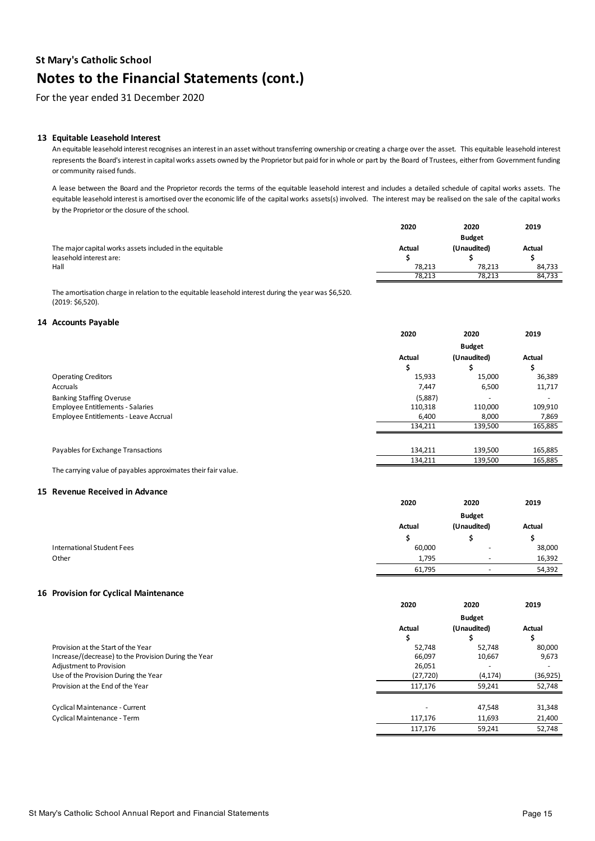For the year ended 31 December 2020

#### **13 Equitable Leasehold Interest**

An equitable leasehold interest recognises an interest in an asset without transferring ownership or creating a charge over the asset. This equitable leasehold interest represents the Board's interest in capital works assets owned by the Proprietor but paid for in whole or part by the Board of Trustees, either from Government funding or community raised funds.

A lease between the Board and the Proprietor records the terms of the equitable leasehold interest and includes a detailed schedule of capital works assets. The equitable leasehold interest is amortised over the economic life of the capital works assets(s) involved. The interest may be realised on the sale of the capital works by the Proprietor or the closure of the school.

|                                                          | 2020   | 2020          | 2019   |
|----------------------------------------------------------|--------|---------------|--------|
|                                                          |        | <b>Budget</b> |        |
| The major capital works assets included in the equitable | Actual | (Unaudited)   | Actual |
| leasehold interest are:                                  |        |               |        |
| Hall                                                     | 78.213 | 78.213        | 84.733 |
|                                                          | 78,213 | 78,213        | 84,733 |

The amortisation charge in relation to the equitable leasehold interest during the year was \$6,520. (2019: \$6,520).

#### 14 Accounts Payable

|                                         | 2020    | 2020          | 2019    |
|-----------------------------------------|---------|---------------|---------|
|                                         |         | <b>Budget</b> |         |
|                                         | Actual  | (Unaudited)   | Actual  |
|                                         | \$      |               |         |
| <b>Operating Creditors</b>              | 15,933  | 15,000        | 36,389  |
| Accruals                                | 7,447   | 6,500         | 11,717  |
| <b>Banking Staffing Overuse</b>         | (5,887) | ٠             |         |
| <b>Employee Entitlements - Salaries</b> | 110,318 | 110,000       | 109,910 |
| Employee Entitlements - Leave Accrual   | 6,400   | 8,000         | 7,869   |
|                                         | 134.211 | 139,500       | 165,885 |
|                                         |         |               |         |
| Payables for Exchange Transactions      | 134,211 | 139,500       | 165,885 |
|                                         | 134,211 | 139,500       | 165,885 |

The carrying value of payables approximates their fair value.

#### **15 Revenue Received in Advance**

|                            | 2020   | 2020                     | 2019   |
|----------------------------|--------|--------------------------|--------|
|                            |        | <b>Budget</b>            |        |
|                            | Actual | (Unaudited)              | Actual |
|                            |        |                          |        |
| International Student Fees | 60,000 | $\overline{\phantom{0}}$ | 38,000 |
| Other                      | 1,795  | $\sim$                   | 16,392 |
|                            | 61,795 | $\overline{\phantom{a}}$ | 54,392 |

#### **16 Provision for Cyclical Maintenance**

|                                                      | 2020        | 2020          | 2019      |
|------------------------------------------------------|-------------|---------------|-----------|
|                                                      |             | <b>Budget</b> |           |
|                                                      | Actual<br>э | (Unaudited)   | Actual    |
| Provision at the Start of the Year                   | 52.748      | 52.748        | 80,000    |
| Increase/(decrease) to the Provision During the Year | 66,097      | 10,667        | 9,673     |
| Adjustment to Provision                              | 26,051      |               |           |
| Use of the Provision During the Year                 | (27, 720)   | (4, 174)      | (36, 925) |
| Provision at the End of the Year                     | 117.176     | 59,241        | 52,748    |
|                                                      |             |               |           |
| Cyclical Maintenance - Current                       |             | 47,548        | 31,348    |
| Cyclical Maintenance - Term                          | 117,176     | 11,693        | 21,400    |
|                                                      | 117.176     | 59,241        | 52,748    |
|                                                      |             |               |           |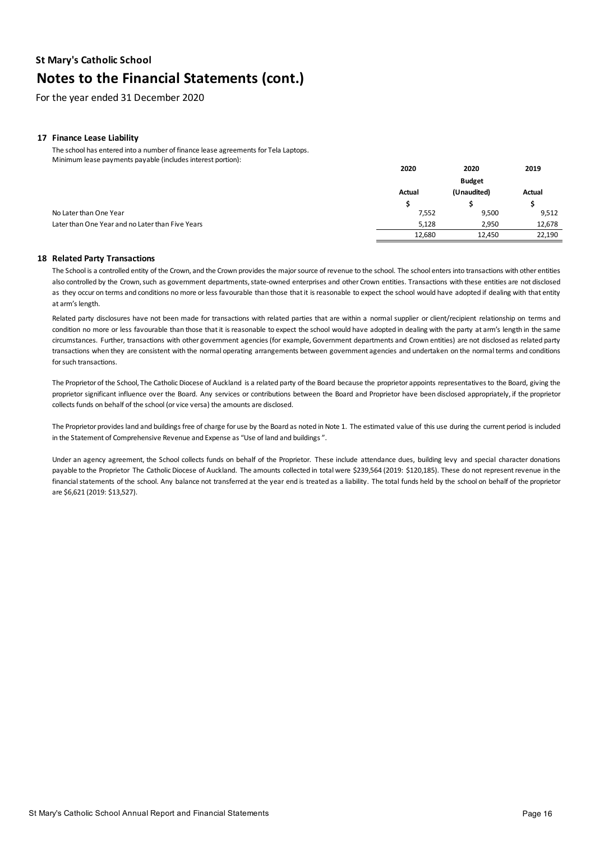For the year ended 31 December 2020

## **17 Finance Lease Liability**

The school has entered into a number of finance lease agreements for Tela Laptops. Minimum lease payments payable (includes interest portion):

|                                                  | 2020   | 2020          | 2019   |
|--------------------------------------------------|--------|---------------|--------|
|                                                  |        | <b>Budget</b> |        |
|                                                  | Actual | (Unaudited)   | Actual |
|                                                  |        |               |        |
| No Later than One Year                           | 7,552  | 9,500         | 9,512  |
| Later than One Year and no Later than Five Years | 5,128  | 2,950         | 12,678 |
|                                                  | 12.680 | 12.450        | 22,190 |

#### **Re18 Related Party Transactions**

The School is a controlled entity of the Crown, and the Crown provides the major source of revenue to the school. The school enters into transactions with other entities also controlled by the Crown, such as government departments, state-owned enterprises and other Crown entities. Transactions with these entities are not disclosed as they occur on terms and conditions no more or less favourable than those that it is reasonable to expect the school would have adopted if dealing with that entity at arm's length.

Related party disclosures have not been made for transactions with related parties that are within a normal supplier or client/recipient relationship on terms and condition no more or less favourable than those thatit is reasonable to expect the school would have adopted in dealing with the party at arm's length in the same circumstances. Further, transactions with other government agencies (for example,Government departments and Crown entities) are not disclosed as related party transactions when they are consistent with the normal operating arrangements between government agencies and undertaken on the normal terms and conditions for such transactions.

The Proprietor of the School, The Catholic Diocese of Auckland is a related party of the Board because the proprietor appoints representatives to the Board, giving the proprietor significant influence over the Board. Any services or contributions between the Board and Proprietor have been disclosed appropriately, if the proprietor collects funds on behalf of the school (or vice versa) the amounts are disclosed.

The Proprietor provides land and buildings free of charge for use by the Board as noted in Note 1. The estimated value of this use during the current period is included in the Statement of Comprehensive Revenue and Expense as "Use of land and buildings ".

Under an agency agreement, the School collects funds on behalf of the Proprietor. These include attendance dues, building levy and special character donations payable to the Proprietor The Catholic Diocese of Auckland. The amounts collected in total were \$239,564 (2019: \$120,185). These do not represent revenue in the financial statements of the school. Any balance not transferred at the year end is treated as a liability. The total funds held by the school on behalf of the proprietor are \$6,621 (2019: \$13,527).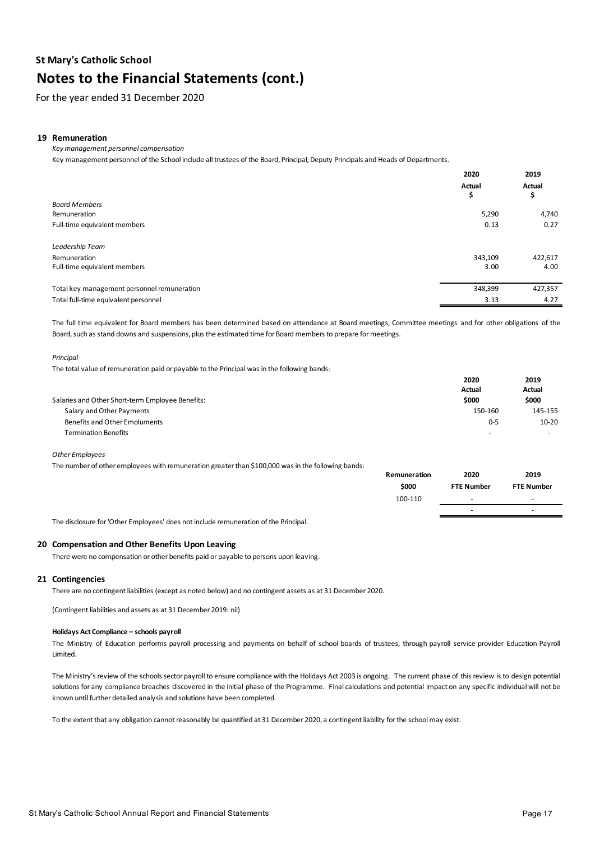For the year ended 31 December 2020

### **19 Remuneration**

*Key management personnel compensation*

Key management personnel of the School include all trustees of the Board, Principal, Deputy Principals and Heads of Departments.

|                                             | 2020    | 2019    |
|---------------------------------------------|---------|---------|
|                                             | Actual  | Actual  |
|                                             | \$      | \$      |
| <b>Board Members</b>                        |         |         |
| Remuneration                                | 5,290   | 4,740   |
| Full-time equivalent members                | 0.13    | 0.27    |
| Leadership Team                             |         |         |
| Remuneration                                | 343,109 | 422,617 |
| Full-time equivalent members                | 3.00    | 4.00    |
| Total key management personnel remuneration | 348,399 | 427,357 |
| Total full-time equivalent personnel        | 3.13    | 4.27    |

The full time equivalent for Board members has been determined based on attendance at Board meetings, Committee meetings and for other obligations of the Board, such as stand downs and suspensions, plus the estimated time for Board members to prepare for meetings.

*Principal* 

The total value of remuneration paid or payable to the Principal was in the following bands:

|                                                  | 2020                     | 2019      |
|--------------------------------------------------|--------------------------|-----------|
|                                                  | Actual                   | Actual    |
| Salaries and Other Short-term Employee Benefits: | \$000                    | \$000     |
| Salary and Other Payments                        | 150-160                  | 145-155   |
| Benefits and Other Emoluments                    | $0 - 5$                  | $10 - 20$ |
| <b>Termination Benefits</b>                      | $\overline{\phantom{a}}$ | $\sim$    |

*Other Employees*

The number of other employees with remuneration greater than \$100,000 was in the following bands:

|                                                                                      | Remuneration | 2020                     | 2019                     |
|--------------------------------------------------------------------------------------|--------------|--------------------------|--------------------------|
|                                                                                      | \$000        | <b>FTE Number</b>        | <b>FTE Number</b>        |
|                                                                                      | 100-110      | $\overline{\phantom{0}}$ | $\overline{\phantom{0}}$ |
|                                                                                      |              |                          |                          |
| The disclosure for 'Other Employees' does not include remuneration of the Principal. |              |                          |                          |

### 20 Compensation and Other Benefits Upon Leaving

There were no compensation or other benefits paid or payable to persons upon leaving.

#### 21 Contingencies

There are no contingent liabilities (except as noted below) and no contingent assets as at 31 December 2020.

(Contingent liabilities and assets as at 31 December 2019: nil)

#### **Holidays Act Compliance – schools payroll**

The Ministry of Education performs payroll processing and payments on behalf of school boards of trustees, through payroll service provider Education Payroll Limited.

The Ministry's review of the schools sector payroll to ensure compliance with the Holidays Act 2003 is ongoing. The current phase of this review is to design potential solutions for any compliance breaches discovered in the initial phase of the Programme. Final calculations and potential impact on any specific individual will not be known until further detailed analysis and solutions have been completed.

To the extent that any obligation cannot reasonably be quantified at 31 December 2020, a contingent liability for the school may exist.